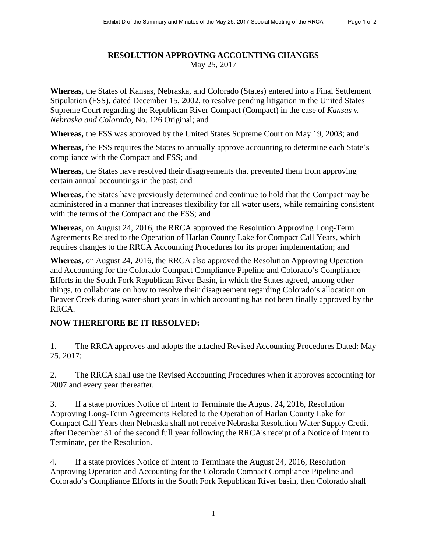## **RESOLUTION APPROVING ACCOUNTING CHANGES** May 25, 2017

**Whereas,** the States of Kansas, Nebraska, and Colorado (States) entered into a Final Settlement Stipulation (FSS), dated December 15, 2002, to resolve pending litigation in the United States Supreme Court regarding the Republican River Compact (Compact) in the case of *Kansas v. Nebraska and Colorado,* No. 126 Original; and

**Whereas,** the FSS was approved by the United States Supreme Court on May 19, 2003; and

**Whereas,** the FSS requires the States to annually approve accounting to determine each State's compliance with the Compact and FSS; and

**Whereas,** the States have resolved their disagreements that prevented them from approving certain annual accountings in the past; and

**Whereas,** the States have previously determined and continue to hold that the Compact may be administered in a manner that increases flexibility for all water users, while remaining consistent with the terms of the Compact and the FSS; and

**Whereas**, on August 24, 2016, the RRCA approved the Resolution Approving Long-Term Agreements Related to the Operation of Harlan County Lake for Compact Call Years, which requires changes to the RRCA Accounting Procedures for its proper implementation; and

**Whereas,** on August 24, 2016, the RRCA also approved the Resolution Approving Operation and Accounting for the Colorado Compact Compliance Pipeline and Colorado's Compliance Efforts in the South Fork Republican River Basin, in which the States agreed, among other things, to collaborate on how to resolve their disagreement regarding Colorado's allocation on Beaver Creek during water-short years in which accounting has not been finally approved by the RRCA.

## **NOW THEREFORE BE IT RESOLVED:**

1. The RRCA approves and adopts the attached Revised Accounting Procedures Dated: May 25, 2017;

2. The RRCA shall use the Revised Accounting Procedures when it approves accounting for 2007 and every year thereafter.

3. If a state provides Notice of Intent to Terminate the August 24, 2016, Resolution Approving Long-Term Agreements Related to the Operation of Harlan County Lake for Compact Call Years then Nebraska shall not receive Nebraska Resolution Water Supply Credit after December 31 of the second full year following the RRCA's receipt of a Notice of Intent to Terminate, per the Resolution.

4. If a state provides Notice of Intent to Terminate the August 24, 2016, Resolution Approving Operation and Accounting for the Colorado Compact Compliance Pipeline and Colorado's Compliance Efforts in the South Fork Republican River basin, then Colorado shall